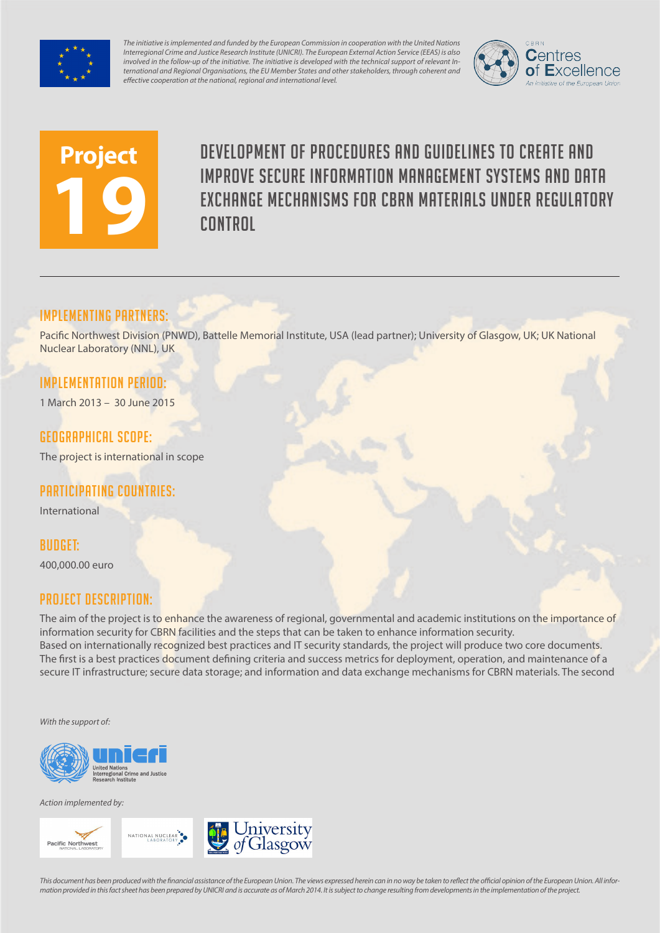

*The initiative is implemented and funded by the European Commission in cooperation with the United Nations Interregional Crime and Justice Research Institute (UNICRI). The European External Action Service (EEAS) is also involved in the follow-up of the initiative. The initiative is developed with the technical support of relevant International and Regional Organisations, the EU Member States and other stakeholders, through coherent and effective cooperation at the national, regional and international level.*





Development of procedures and guidelines to create and improve secure information management systems and data exchange mechanisms for CBRN materials under regulatory **CONTROL** 

### Implementing partners:

Pacific Northwest Division (PNWD), Battelle Memorial Institute, USA (lead partner); University of Glasgow, UK; UK National Nuclear Laboratory (NNL), UK

## Implementation Period:

1 March 2013 – 30 June 2015

### Geographical scope:

The project is international in scope

# Participating countries:

International

# Budget:

400,000.00 euro

### Project Description:

The aim of the project is to enhance the awareness of regional, governmental and academic institutions on the importance of information security for CBRN facilities and the steps that can be taken to enhance information security. Based on internationally recognized best practices and IT security standards, the project will produce two core documents. The first is a best practices document defining criteria and success metrics for deployment, operation, and maintenance of a secure IT infrastructure; secure data storage; and information and data exchange mechanisms for CBRN materials. The second

*With the support of:*



*Action implemented by:*





*This document has been produced with the financial assistance of the European Union. The views expressed herein can in no way be taken to reflect the official opinion of the European Union. All information provided in this fact sheet has been prepared by UNICRI and is accurate as of March 2014. It is subject to change resulting from developments in the implementation of the project.*